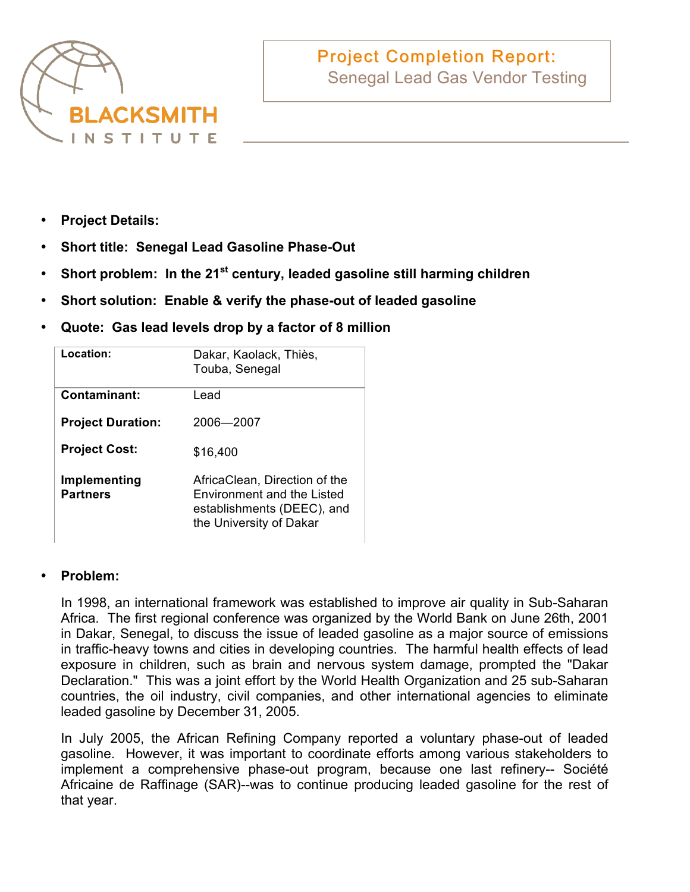

# **Project Completion Report:** Senegal Lead Gas Vendor Testing

- **Project Details:**
- **Short title: Senegal Lead Gasoline Phase-Out**
- Short problem: In the 21<sup>st</sup> century, leaded gasoline still harming children
- **Short solution: Enable & verify the phase-out of leaded gasoline**
- **Quote: Gas lead levels drop by a factor of 8 million**

| Location:                       | Dakar, Kaolack, Thiès,<br>Touba, Senegal                                                                                    |
|---------------------------------|-----------------------------------------------------------------------------------------------------------------------------|
| Contaminant:                    | Lead                                                                                                                        |
| <b>Project Duration:</b>        | 2006-2007                                                                                                                   |
| <b>Project Cost:</b>            | \$16,400                                                                                                                    |
| Implementing<br><b>Partners</b> | AfricaClean, Direction of the<br><b>Environment and the Listed</b><br>establishments (DEEC), and<br>the University of Dakar |

## • **Problem:**

In 1998, an international framework was established to improve air quality in Sub-Saharan Africa. The first regional conference was organized by the World Bank on June 26th, 2001 in Dakar, Senegal, to discuss the issue of leaded gasoline as a major source of emissions in traffic-heavy towns and cities in developing countries. The harmful health effects of lead exposure in children, such as brain and nervous system damage, prompted the "Dakar Declaration." This was a joint effort by the World Health Organization and 25 sub-Saharan countries, the oil industry, civil companies, and other international agencies to eliminate leaded gasoline by December 31, 2005.

In July 2005, the African Refining Company reported a voluntary phase-out of leaded gasoline. However, it was important to coordinate efforts among various stakeholders to implement a comprehensive phase-out program, because one last refinery-- Société Africaine de Raffinage (SAR)--was to continue producing leaded gasoline for the rest of that year.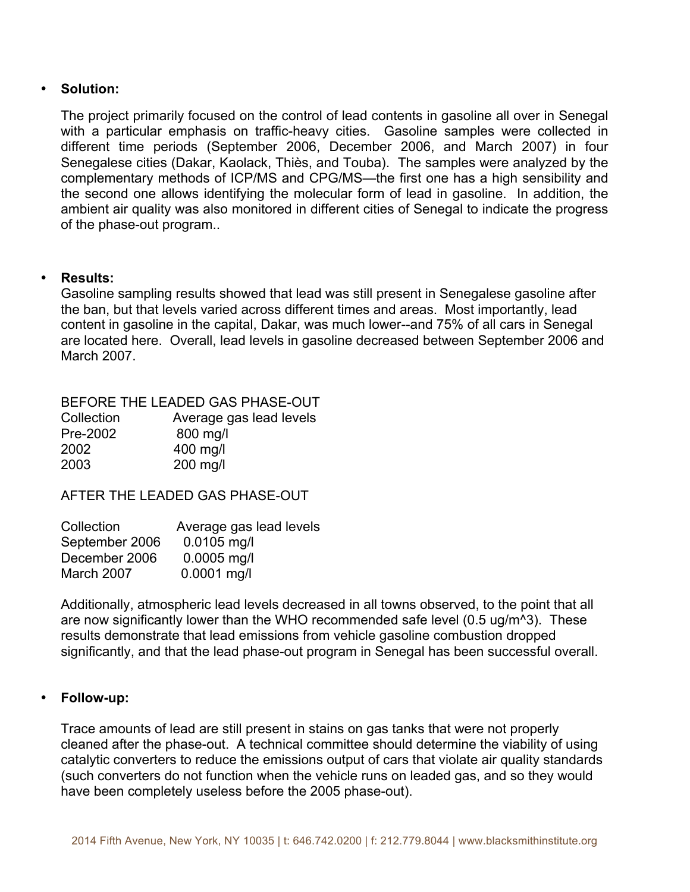### • **Solution:**

The project primarily focused on the control of lead contents in gasoline all over in Senegal with a particular emphasis on traffic-heavy cities. Gasoline samples were collected in different time periods (September 2006, December 2006, and March 2007) in four Senegalese cities (Dakar, Kaolack, Thiès, and Touba). The samples were analyzed by the complementary methods of ICP/MS and CPG/MS—the first one has a high sensibility and the second one allows identifying the molecular form of lead in gasoline. In addition, the ambient air quality was also monitored in different cities of Senegal to indicate the progress of the phase-out program..

### • **Results:**

Gasoline sampling results showed that lead was still present in Senegalese gasoline after the ban, but that levels varied across different times and areas. Most importantly, lead content in gasoline in the capital, Dakar, was much lower--and 75% of all cars in Senegal are located here. Overall, lead levels in gasoline decreased between September 2006 and March 2007.

|            | BEFORE THE LEADED GAS PHASE-OUT |
|------------|---------------------------------|
| Collection | Average gas lead levels         |
| Pre-2002   | 800 mg/l                        |
| 2002       | 400 mg/l                        |
| 2003       | 200 mg/l                        |

AFTER THE LEADED GAS PHASE-OUT

| Average gas lead levels |
|-------------------------|
| $0.0105$ mg/l           |
| $0.0005$ mg/l           |
| $0.0001$ mg/l           |
|                         |

Additionally, atmospheric lead levels decreased in all towns observed, to the point that all are now significantly lower than the WHO recommended safe level (0.5 ug/m^3). These results demonstrate that lead emissions from vehicle gasoline combustion dropped significantly, and that the lead phase-out program in Senegal has been successful overall.

#### • **Follow-up:**

Trace amounts of lead are still present in stains on gas tanks that were not properly cleaned after the phase-out. A technical committee should determine the viability of using catalytic converters to reduce the emissions output of cars that violate air quality standards (such converters do not function when the vehicle runs on leaded gas, and so they would have been completely useless before the 2005 phase-out).